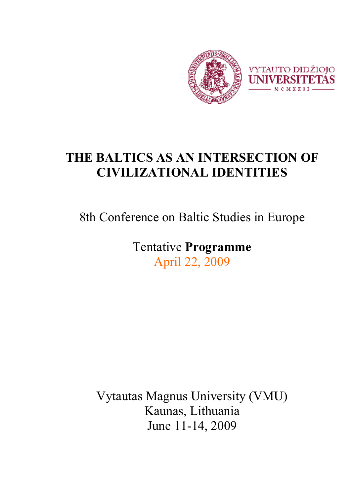

# **THE BALTICS AS AN INTERSECTION OF CIVILIZATIONAL IDENTITIES**

8th Conference on Baltic Studies in Europe

Tentative **Programme**  April 22, 2009

Vytautas Magnus University (VMU) Kaunas, Lithuania June 11-14, 2009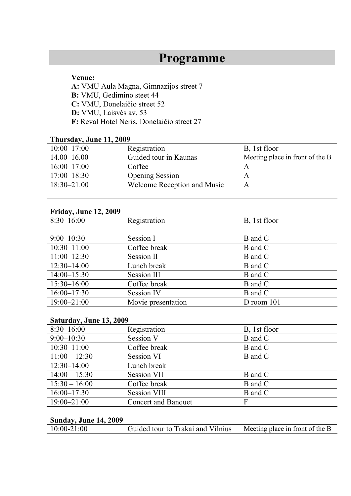# **Programme**

#### **Venue:**

 **A:** VMU Aula Magna, Gimnazijos street 7  **B:** VMU, Gedimino steet 44  **C:** VMU, Donelaičio street 52 **D:** VMU, Laisvės av. 53  **F:** Reval Hotel Neris, Donelaičio street 27

### **Thursday, June 11, 2009**

| $10:00 - 17:00$ | Registration                | B, 1st floor                    |
|-----------------|-----------------------------|---------------------------------|
| $14.00 - 16.00$ | Guided tour in Kaunas       | Meeting place in front of the B |
| $16:00 - 17:00$ | Coffee                      |                                 |
| $17:00 - 18:30$ | <b>Opening Session</b>      |                                 |
| $18:30 - 21.00$ | Welcome Reception and Music |                                 |

### **Friday, June 12, 2009**

| $8:30-16:00$    | Registration       | B, 1st floor   |
|-----------------|--------------------|----------------|
|                 |                    |                |
| $9:00-10:30$    | Session I          | B and C        |
| $10:30 - 11:00$ | Coffee break       | B and C        |
| $11:00-12:30$   | Session II         | B and C        |
| $12:30 - 14:00$ | Lunch break        | B and C        |
| $14:00 - 15:30$ | Session III        | B and C        |
| $15:30 - 16:00$ | Coffee break       | B and C        |
| $16:00-17:30$   | <b>Session IV</b>  | B and C        |
| $19:00 - 21:00$ | Movie presentation | $D$ room $101$ |

### **Saturday, June 13, 2009**

| $8:30-16:00$    | Registration               | B, 1st floor |
|-----------------|----------------------------|--------------|
| $9:00-10:30$    | Session V                  | B and C      |
| $10:30 - 11:00$ | Coffee break               | B and C      |
| $11:00 - 12:30$ | Session VI                 | B and C      |
| $12:30 - 14:00$ | Lunch break                |              |
| $14:00 - 15:30$ | <b>Session VII</b>         | B and C      |
| $15:30 - 16:00$ | Coffee break               | B and C      |
| $16:00 - 17:30$ | <b>Session VIII</b>        | B and C      |
| $19:00 - 21:00$ | <b>Concert and Banquet</b> | F            |

### **Sunday, June 14, 2009**

| Meeting place in front of the B<br>$10:00 - 21:00$<br>Guided tour to Trakai and Vilnius |
|-----------------------------------------------------------------------------------------|
|-----------------------------------------------------------------------------------------|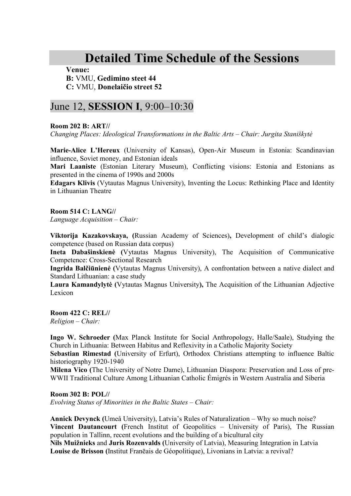# **Detailed Time Schedule of the Sessions**

**Venue:** 

### **B:** VMU, **Gedimino steet 44 C:** VMU, **Donelaičio street 52**

# June 12, **SESSION I**, 9:00–10:30

**Room 202 B: ART//** 

*Changing Places: Ideological Transformations in the Baltic Arts – Chair: Jurgita Staniškyt÷*

**Marie-Alice L'Hereux** (University of Kansas), Open-Air Museum in Estonia: Scandinavian influence, Soviet money, and Estonian ideals

**Mari Laaniste** (Estonian Literary Museum), Conflicting visions: Estonia and Estonians as presented in the cinema of 1990s and 2000s

**Edagars Klivis** (Vytautas Magnus University), Inventing the Locus: Rethinking Place and Identity in Lithuanian Theatre

**Room 514 C: LANG//** 

*Language Acquisition – Chair:* 

**Viktorija Kazakovskaya, (**Russian Academy of Sciences)**,** Development of child's dialogic competence (based on Russian data corpus)

Ineta Dabašinskienė (Vytautas Magnus University), The Acquisition of Communicative Competence: Cross-Sectional Research

**Ingrida Balčiūnienė (Vytautas Magnus University), A confrontation between a native dialect and** Standard Lithuanian: a case study

Laura Kamandylytė (Vytautas Magnus University), The Acquisition of the Lithuanian Adjective Lexicon

**Room 422 C: REL//**  *Religion – Chair:*

**Ingo W. Schroeder (**Max Planck Institute for Social Anthropology, Halle/Saale), Studying the Church in Lithuania: Between Habitus and Reflexivity in a Catholic Majority Society

**Sebastian Rimestad (**University of Erfurt), Orthodox Christians attempting to influence Baltic historiography 1920-1940

**Milena Vico (**The University of Notre Dame), Lithuanian Diaspora: Preservation and Loss of pre-WWII Traditional Culture Among Lithuanian Catholic Émigrés in Western Australia and Siberia

**Room 302 B: POL//**  *Evolving Status of Minorities in the Baltic States – Chair:*

**Annick Devynck (**Umeå University), Latvia's Rules of Naturalization – Why so much noise? **Vincent Dautancourt (**French Institut of Geopolitics – University of Paris), The Russian population in Tallinn, recent evolutions and the building of a bicultural city **Nils Muižnieks** and **Juris Rozenvalds (**University of Latvia), Measuring Integration in Latvia **Louise de Brisson (**Institut Franēais de Géopolitique), Livonians in Latvia: a revival?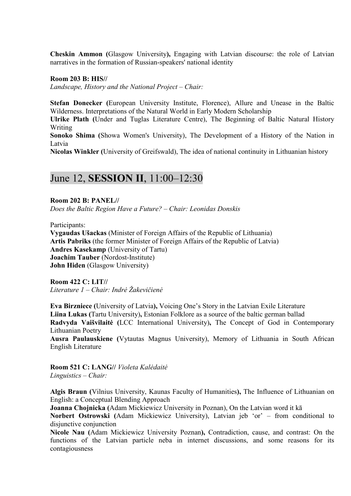**Cheskin Ammon (**Glasgow University**),** Engaging with Latvian discourse: the role of Latvian narratives in the formation of Russian-speakers' national identity

**Room 203 B: HIS//**

*Landscape, History and the National Project – Chair:*

**Stefan Donecker (**European University Institute, Florence), Allure and Unease in the Baltic Wilderness. Interpretations of the Natural World in Early Modern Scholarship

**Ulrike Plath (**Under and Tuglas Literature Centre), The Beginning of Baltic Natural History Writing

**Sonoko Shima (**Showa Women's University), The Development of a History of the Nation in Latvia

**Nicolas Winkler (**University of Greifswald), The idea of national continuity in Lithuanian history

# June 12, **SESSION II**, 11:00–12:30

**Room 202 B: PANEL//** *Does the Baltic Region Have a Future? – Chair: Leonidas Donskis*

Participants:

**Vygaudas Ušackas** (Minister of Foreign Affairs of the Republic of Lithuania) **Artis Pabriks** (the former Minister of Foreign Affairs of the Republic of Latvia) **Andres Kasekamp** (University of Tartu) **Joachim Tauber** (Nordost-Institute) **John Hiden** (Glasgow University)

**Room 422 C: LIT//**  *Literature 1 – Chair: Indr÷ Žakevičien÷* 

**Eva Birzniece (**University of Latvia**),** Voicing One's Story in the Latvian Exile Literature **Liina Lukas (**Tartu University)**,** Estonian Folklore as a source of the baltic german ballad **Radvyda Vaišvilaitė** (LCC International University), The Concept of God in Contemporary Lithuanian Poetry

**Ausra Paulauskiene (**Vytautas Magnus University), Memory of Lithuania in South African English Literature

**Room 521 C: LANG//** *Violeta Kal÷dait÷ Linguistics – Chair:* 

**Algis Braun (**Vilnius University, Kaunas Faculty of Humanities**),** The Influence of Lithuanian on English: a Conceptual Blending Approach

**Joanna Chojnicka (**Adam Mickiewicz University in Poznan), On the Latvian word it kā **Norbert Ostrowski (**Adam Mickiewicz University), Latvian jeb 'or' – from conditional to disjunctive conjunction

**Nicole Nau (**Adam Mickiewicz University Poznan**),** Contradiction, cause, and contrast: On the functions of the Latvian particle neba in internet discussions, and some reasons for its contagiousness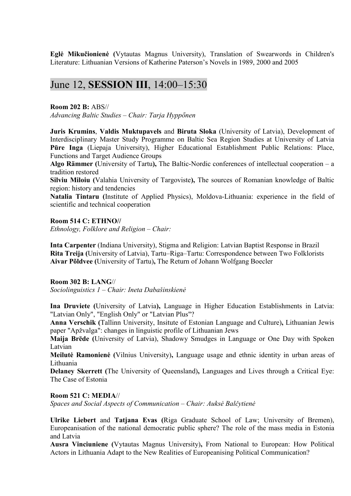**Eglė Mikučionienė** (Vytautas Magnus University), Translation of Swearwords in Children's Literature: Lithuanian Versions of Katherine Paterson's Novels in 1989, 2000 and 2005

# June 12, **SESSION III**, 14:00–15:30

**Room 202 B:** ABS//

*Advancing Baltic Studies – Chair: Tarja Hypponen* 

**Juris Krumins**, **Valdis Muktupavels** and **Biruta Sloka** (University of Latvia), Development of Interdisciplinary Master Study Programme on Baltic Sea Region Studies at University of Latvia **Pūre Inga** (Liepaja University), Higher Educational Establishment Public Relations: Place, Functions and Target Audience Groups

**Algo Rämmer (**University of Tartu**),** The Baltic-Nordic conferences of intellectual cooperation – a tradition restored

**Silviu Miloiu (**Valahia University of Targoviste**),** The sources of Romanian knowledge of Baltic region: history and tendencies

**Natalia Tintaru (**Institute of Applied Physics), Moldova-Lithuania: experience in the field of scientific and technical cooperation

#### **Room 514 C: ETHNO//**

*Ethnology, Folklore and Religion – Chair:* 

**Inta Carpenter** (Indiana University), Stigma and Religion: Latvian Baptist Response in Brazil **Rita Treija (**University of Latvia), Tartu–Riga–Tartu: Correspondence between Two Folklorists **Aivar Põldvee (**University of Tartu)**,** The Return of Johann Wolfgang Boecler

#### **Room 302 B: LANG**//

*Sociolinguistics 1 – Chair: Ineta Dabašinskien÷* 

**Ina Druviete (**University of Latvia**),** Language in Higher Education Establishments in Latvia: "Latvian Only", "English Only" or "Latvian Plus"?

**Anna Verschik (**Tallinn University, Insitute of Estonian Language and Culture)**,** Lithuanian Jewis paper "Apžvalga": changes in linguistic profile of Lithuanian Jews

**Maija Brēde (**University of Latvia), Shadowy Smudges in Language or One Day with Spoken Latvian

**Meilutė Ramonienė** (Vilnius University), Language usage and ethnic identity in urban areas of Lithuania

**Delaney Skerrett (**The University of Queensland)**,** Languages and Lives through a Critical Eye: The Case of Estonia

#### **Room 521 C: MEDIA**//

*Spaces and Social Aspects of Communication – Chair: Auksė Balčytienė* 

**Ulrike Liebert** and **Tatjana Evas (**Riga Graduate School of Law; University of Bremen), Europeanisation of the national democratic public sphere? The role of the mass media in Estonia and Latvia

**Ausra Vinciuniene (**Vytautas Magnus University)**,** From National to European: How Political Actors in Lithuania Adapt to the New Realities of Europeanising Political Communication?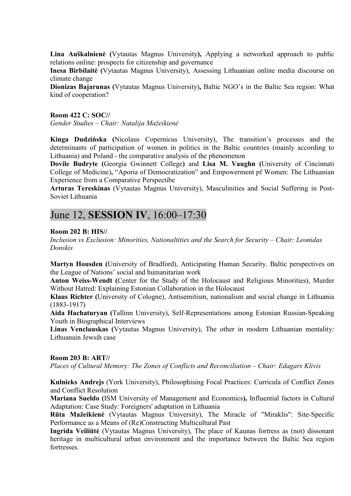Lina Auškalnienė (Vytautas Magnus University), Applying a networked approach to public relations online: prospects for citizenship and governance

**Inesa Birbilaitė (Vytautas Magnus University), Assessing Lithuanian online media discourse on** climate change

**Dionizas Bajarunas (**Vytautas Magnus University)**,** Baltic NGO's in the Baltic Sea region: What kind of cooperation?

**Room 422 C: SOC//** 

*Gender Studies – Chair: Natalija Mažeikien÷* 

**Kinga Dudzińska (**Nicolaus Copernicus University), The transition's processes and the determinants of participation of women in politics in the Baltic countries (mainly according to Lithuania) and Poland - the comparative analysis of the phenomenon

**Dovile Budryte (**Georgia Gwinnett College**)** and **Lisa M. Vaughn (**University of Cincinnati College of Medicine)**,** "Aporia of Democratization" and Empowerment pf Women: The Lithuanian Experience from a Comparative Perspectibe

**Arturas Tereskinas** (Vytautas Magnus University), Masculinities and Social Suffering in Post-Soviet Lithuania

# June 12, **SESSION IV**, 16:00–17:30

#### **Room 202 B: HIS//**

*Inclusion vs Exclusion: Minorities, Nationaltities and the Search for Security – Chair: Leonidas Donskis* 

**Martyn Housden (**University of Bradford), Anticipating Human Security. Baltic perspectives on the League of Nations' social and humanitarian work

**Anton Weiss-Wendt (**Center for the Study of the Holocaust and Religious Minorities), Murder Without Hatred: Explaining Estonian Collaboration in the Holocaust

**Klaus Richter (**University of Cologne), Antisemitism, nationalism and social change in Lithuania (1883-1917)

**Aida Hachaturyan (**Tallinn University), Self-Representations among Estonian Russian-Speaking Youth in Biographical Interviews

**Linas Venclauskas (**Vytautas Magnus University), The other in modern Lithuanian mentality: Lithuanain Jewsih case

#### **Room 203 B: ART//**

*Places of Cultural Memory: The Zones of Conflicts and Reconciliation – Chair: Edagars Klivis* 

**Kulnieks Andrejs** (York University), Philosophising Focal Practices: Curricula of Conflict Zones and Conflict Resolution

**Mariana Sueldo (**ISM University of Management and Economics**),** Influential factors in Cultural Adaptation: Case Study: Foreigners' adaptation in Lithuania

**Rūta Mažeikienė** (Vytautas Magnus University), The Miracle of "Miraklis": Site-Specific Performance as a Means of (Re)Constructing Multicultural Past

**Ingrida Veiliūtė** (Vytautas Magnus University), The place of Kaunas fortress as (not) dissonant heritage in multicultural urban environment and the importance between the Baltic Sea region **fortresses**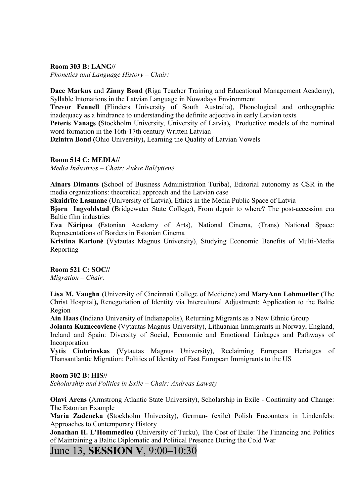**Room 303 B: LANG//** 

*Phonetics and Language History – Chair:* 

**Dace Markus** and **Zinny Bond (**Riga Teacher Training and Educational Management Academy), Syllable Intonations in the Latvian Language in Nowadays Environment

**Trevor Fennell (**Flinders University of South Australia), Phonological and orthographic inadequacy as a hindrance to understanding the definite adjective in early Latvian texts

**Peteris Vanags (**Stockholm University, University of Latvia)**,** Productive models of the nominal word formation in the 16th-17th century Written Latvian

**Dzintra Bond (**Ohio University)**,** Learning the Quality of Latvian Vowels

#### **Room 514 C: MEDIA//**

*Media Industries – Chair: Auksė Balčytienė* 

**Ainars Dimants (**School of Business Administration Turiba), Editorial autonomy as CSR in the media organizations: theoretical approach and the Latvian case

**Skaidrīte Lasmane** (University of Latvia), Ethics in the Media Public Space of Latvia

**Bjorn Ingvoldstad (**Bridgewater State College), From depair to where? The post-accession era Baltic film industries

**Eva Näripea (**Estonian Academy of Arts), National Cinema, (Trans) National Space: Representations of Borders in Estonian Cinema

**Kristina Karlon÷** (Vytautas Magnus University), Studying Economic Benefits of Multi-Media Reporting

**Room 521 C: SOC//**  *Migration – Chair:*

**Lisa M. Vaughn (**University of Cincinnati College of Medicine) and **MaryAnn Lohmueller (**The Christ Hospital)**,** Renegotiation of Identity via Intercultural Adjustment: Application to the Baltic Region

**Ain Haas (**Indiana University of Indianapolis), Returning Migrants as a New Ethnic Group

**Jolanta Kuznecoviene (**Vytautas Magnus University), Lithuanian Immigrants in Norway, England, Ireland and Spain: Diversity of Social, Economic and Emotional Linkages and Pathways of Incorporation

**Vytis Ciubrinskas (**Vytautas Magnus University), Reclaiming European Heriatges of Thansantlantic Migration: Politics of Identity of East European Immigrants to the US

#### **Room 302 B: HIS//**

*Scholarship and Politics in Exile – Chair: Andreas Lawaty* 

**Olavi Arens (**Armstrong Atlantic State University), Scholarship in Exile - Continuity and Change: The Estonian Example

**Maria Zadencka (**Stockholm University), German- (exile) Polish Encounters in Lindenfels: Approaches to Contemporary History

**Jonathan H. L'Hommedieu (**University of Turku), The Cost of Exile: The Financing and Politics of Maintaining a Baltic Diplomatic and Political Presence During the Cold War

### June 13, **SESSION V**, 9:00–10:30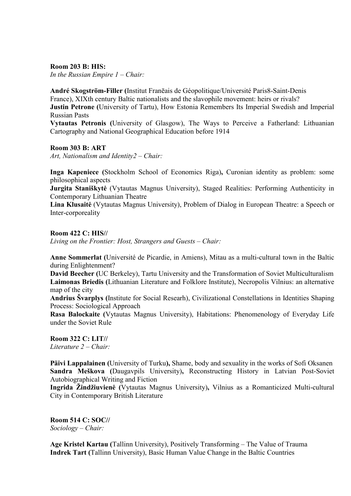**Room 203 B: HIS:** 

*In the Russian Empire 1 – Chair:* 

**André Skogström-Filler (**Institut Franēais de Géopolitique/Université Paris8-Saint-Denis France), XIXth century Baltic nationalists and the slavophile movement: heirs or rivals?

**Justin Petrone (**University of Tartu), How Estonia Remembers Its Imperial Swedish and Imperial Russian Pasts

**Vytautas Petronis (**University of Glasgow), The Ways to Perceive a Fatherland: Lithuanian Cartography and National Geographical Education before 1914

**Room 303 B: ART** 

*Art, Nationalism and Identity2 – Chair:* 

**Inga Kapeniece (**Stockholm School of Economics Riga)**,** Curonian identity as problem: some philosophical aspects

Jurgita Staniškytė (Vytautas Magnus University), Staged Realities: Performing Authenticity in Contemporary Lithuanian Theatre

**Lina Klusaitė** (Vytautas Magnus University), Problem of Dialog in European Theatre: a Speech or Inter-corporeality

#### **Room 422 C: HIS//**

*Living on the Frontier: Host, Strangers and Guests – Chair:* 

**Anne Sommerlat (**Université de Picardie, in Amiens), Mitau as a multi-cultural town in the Baltic during Enlightenment?

**David Beecher (**UC Berkeley), Tartu University and the Transformation of Soviet Multiculturalism **Laimonas Briedis (**Lithuanian Literature and Folklore Institute), Necropolis Vilnius: an alternative map of the city

**Andrius Švarplys (**Institute for Social Researh), Civilizational Constellations in Identities Shaping Process: Sociological Approach

**Rasa Balockaite (**Vytautas Magnus University), Habitations: Phenomenology of Everyday Life under the Soviet Rule

**Room 322 C: LIT//**  *Literature 2 – Chair:* 

**Päivi Lappalainen (**University of Turku**),** Shame, body and sexuality in the works of Sofi Oksanen **Sandra Meškova (**Daugavpils University)**,** Reconstructing History in Latvian Post-Soviet Autobiographical Writing and Fiction

**Ingrida Žindžiuvien÷ (**Vytautas Magnus University)**,** Vilnius as a Romanticized Multi-cultural City in Contemporary British Literature

**Room 514 C: SOC//**  *Sociology – Chair:* 

**Age Kristel Kartau (**Tallinn University), Positively Transforming – The Value of Trauma **Indrek Tart (**Tallinn University), Basic Human Value Change in the Baltic Countries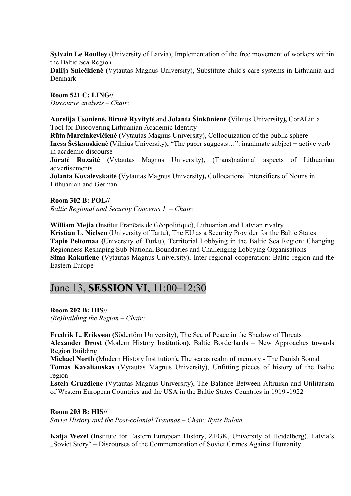**Sylvain Le Roulley (**University of Latvia), Implementation of the free movement of workers within the Baltic Sea Region

Dalija Sniečkienė (Vytautas Magnus University), Substitute child's care systems in Lithuania and Denmark

**Room 521 C: LING//**  *Discourse analysis – Chair:* 

**Aurelija Usonien÷, Birut÷ Ryvityt÷** and **Jolanta Šinkūnien÷ (**Vilnius University**),** CorALit: a Tool for Discovering Lithuanian Academic Identity

**Rūta Marcinkevičienė (Vytautas Magnus University), Colloquization of the public sphere Inesa Šeškauskienė (Vilnius University), "The paper suggests...": inanimate subject + active verb** in academic discourse

**Jūratė Ruzaitė** (Vytautas Magnus University), (Trans)national aspects of Lithuanian advertisements

**Jolanta Kovalevskaitė (Vytautas Magnus University), Collocational Intensifiers of Nouns in** Lithuanian and German

**Room 302 B: POL//**  *Baltic Regional and Security Concerns 1*– *Chair:* 

**William Mejia (**Institut Franēais de Géopolitique), Lithuanian and Latvian rivalry **Kristian L. Nielsen (**University of Tartu), The EU as a Security Provider for the Baltic States **Tapio Peltomaa (**University of Turku), Territorial Lobbying in the Baltic Sea Region: Changing Regionness Reshaping Sub-National Boundaries and Challenging Lobbying Organisations **Sima Rakutiene (**Vytautas Magnus University), Inter-regional cooperation: Baltic region and the Eastern Europe

### June 13, **SESSION VI**, 11:00–12:30

**Room 202 B: HIS//** 

*(Re)Building the Region – Chair:* 

**Fredrik L. Eriksson (**Södertörn University), The Sea of Peace in the Shadow of Threats **Alexander Drost (**Modern History Institution**),** Baltic Borderlands – New Approaches towards Region Building

**Michael North (**Modern History Institution)**,** The sea as realm of memory - The Danish Sound **Tomas Kavaliauskas** (Vytautas Magnus University), Unfitting pieces of history of the Baltic region

**Estela Gruzdiene (**Vytautas Magnus University), The Balance Between Altruism and Utilitarism of Western European Countries and the USA in the Baltic States Countries in 1919 -1922

**Room 203 B: HIS//**  *Soviet History and the Post-colonial Traumas – Chair: Rytis Bulota* 

**Katja Wezel (**Institute for Eastern European History, ZEGK, University of Heidelberg), Latvia's "Soviet Story" – Discourses of the Commemoration of Soviet Crimes Against Humanity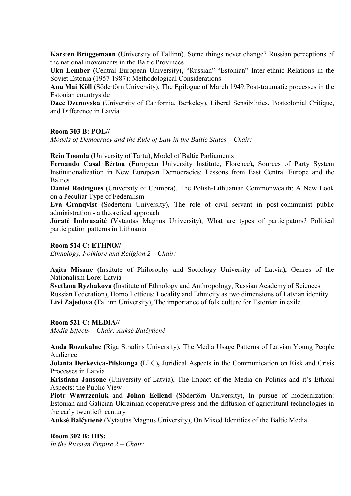**Karsten Brüggemann (**University of Tallinn), Some things never change? Russian perceptions of the national movements in the Baltic Provinces

**Uku Lember (**Central European University**),** "Russian"-"Estonian" Inter-ethnic Relations in the Soviet Estonia (1957-1987): Methodological Considerations

**Anu Mai Kõll (**Södertörn University), The Epilogue of March 1949:Post-traumatic processes in the Estonian countryside

**Dace Dzenovska (**University of California, Berkeley), Liberal Sensibilities, Postcolonial Critique, and Difference in Latvia

#### **Room 303 B: POL//**

*Models of Democracy and the Rule of Law in the Baltic States – Chair:*

**Rein Toomla (**University of Tartu), Model of Baltic Parliaments

**Fernando Casal Bértoa (**European University Institute, Florence)**,** Sources of Party System Institutionalization in New European Democracies: Lessons from East Central Europe and the **Baltics** 

**Daniel Rodrigues (**University of Coimbra), The Polish-Lithuanian Commonwealth: A New Look on a Peculiar Type of Federalism

**Eva Granqvist (**Sodertorn University), The role of civil servant in post-communist public administration - a theoretical approach

**Jūratė Imbrasaitė** (Vytautas Magnus University), What are types of participators? Political participation patterns in Lithuania

#### **Room 514 C: ETHNO//**

*Ethnology, Folklore and Religion 2 – Chair:* 

**Agita Misane (**Institute of Philosophy and Sociology University of Latvia**),** Genres of the Nationalism Lore: Latvia

**Svetlana Ryzhakova (**Institute of Ethnology and Anthropology, Russian Academy of Sciences Russian Federation), Homo Letticus: Locality and Ethnicity as two dimensions of Latvian identity **Livi Zajedova (**Tallinn University), The importance of folk culture for Estonian in exile

**Room 521 C: MEDIA//**  *Media Effects – Chair: Auks÷ Balčytien÷* 

**Anda Rozukalne (**Riga Stradins University), The Media Usage Patterns of Latvian Young People Audience

**Jolanta Derkevica-Pilskunga (**LLC)**,** Juridical Aspects in the Communication on Risk and Crisis Processes in Latvia

**Kristiana Jansone (**University of Latvia), The Impact of the Media on Politics and it's Ethical Aspects: the Public View

**Piotr Wawrzeniuk** and **Johan Eellend (**Södertörn University), In pursue of modernization: Estonian and Galician-Ukrainian cooperative press and the diffusion of agricultural technologies in the early twentieth century

**Auks÷ Balčytien÷** (Vytautas Magnus University), On Mixed Identities of the Baltic Media

**Room 302 B: HIS:**  *In the Russian Empire 2 – Chair:*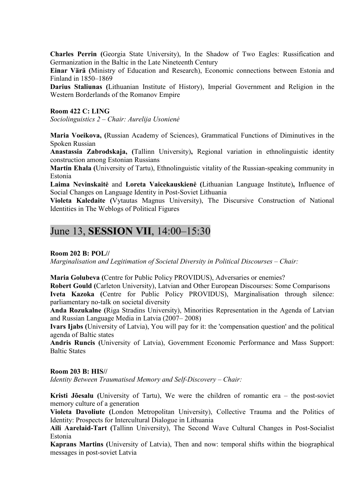**Charles Perrin (**Georgia State University), In the Shadow of Two Eagles: Russification and Germanization in the Baltic in the Late Nineteenth Century

**Einar Värä (**Ministry of Education and Research), Economic connections between Estonia and Finland in 1850–1869

**Darius Staliunas (**Lithuanian Institute of History), Imperial Government and Religion in the Western Borderlands of the Romanov Empire

#### **Room 422 C: LING**

*Sociolinguistics 2 – Chair: Aurelija Usonien÷* 

**Maria Voeikova, (**Russian Academy of Sciences), Grammatical Functions of Diminutives in the Spoken Russian

**Anastassia Zabrodskaja, (**Tallinn University)**,** Regional variation in ethnolinguistic identity construction among Estonian Russians

**Martin Ehala (**University of Tartu), Ethnolinguistic vitality of the Russian-speaking community in Estonia

Laima Nevinskaitė and Loreta Vaicekauskienė (Lithuanian Language Institute), Influence of Social Changes on Language Identity in Post-Soviet Lithuania

**Violeta Kaledaite (**Vytautas Magnus University), The Discursive Construction of National Identities in The Weblogs of Political Figures

## June 13, **SESSION VII**, 14:00–15:30

**Room 202 B: POL//** 

*Marginalisation and Legitimation of Societal Diversity in Political Discourses – Chair:* 

**Maria Golubeva (**Centre for Public Policy PROVIDUS), Adversaries or enemies?

**Robert Gould (**Carleton University), Latvian and Other European Discourses: Some Comparisons **Iveta Kazoka (**Centre for Public Policy PROVIDUS), Marginalisation through silence: parliamentary no-talk on societal diversity

**Anda Rozukalne (**Riga Stradins University), Minorities Representation in the Agenda of Latvian and Russian Language Media in Latvia (2007– 2008)

**Ivars Ijabs (**University of Latvia), You will pay for it: the 'compensation question' and the political agenda of Baltic states

**Andris Runcis (**University of Latvia), Government Economic Performance and Mass Support: Baltic States

#### **Room 203 B: HIS//**

*Identity Between Traumatised Memory and Self-Discovery – Chair:* 

**Kristi Jõesalu (**University of Tartu), We were the children of romantic era – the post-soviet memory culture of a generation

**Violeta Davoliute (**London Metropolitan University), Collective Trauma and the Politics of Identity: Prospects for Intercultural Dialogue in Lithuania

**Aili Aarelaid-Tart (**Tallinn University), The Second Wave Cultural Changes in Post-Socialist Estonia

**Kaprans Martins (**University of Latvia), Then and now: temporal shifts within the biographical messages in post-soviet Latvia